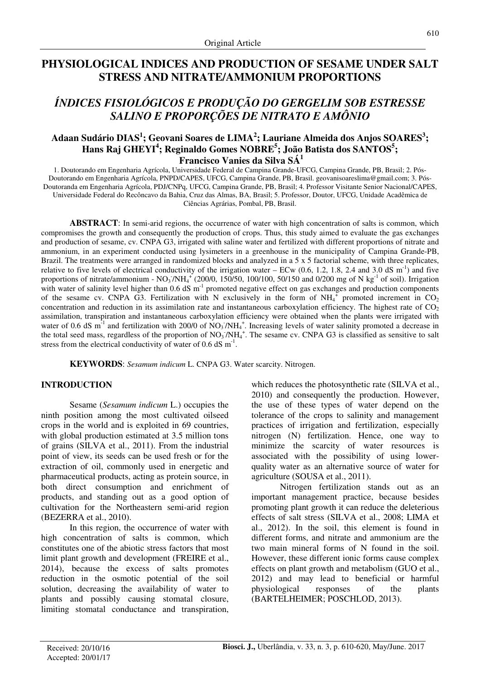## **PHYSIOLOGICAL INDICES AND PRODUCTION OF SESAME UNDER SALT STRESS AND NITRATE/AMMONIUM PROPORTIONS**

# *ÍNDICES FISIOLÓGICOS E PRODUÇÃO DO GERGELIM SOB ESTRESSE SALINO E PROPORÇÕES DE NITRATO E AMÔNIO*

## **Adaan Sudário DIAS<sup>1</sup> ; Geovani Soares de LIMA<sup>2</sup> ; Lauriane Almeida dos Anjos SOARES<sup>3</sup> ; Hans Raj GHEYI<sup>4</sup> ; Reginaldo Gomes NOBRE<sup>5</sup> ; João Batista dos SANTOS<sup>5</sup> ; Francisco Vanies da Silva SÁ<sup>1</sup>**

1. Doutorando em Engenharia Agrícola, Universidade Federal de Campina Grande-UFCG, Campina Grande, PB, Brasil; 2. Pós-Doutorando em Engenharia Agrícola, PNPD/CAPES, UFCG, Campina Grande, PB, Brasil. geovanisoareslima@gmail.com; 3. Pós-Doutoranda em Engenharia Agrícola, PDJ/CNPq, UFCG, Campina Grande, PB, Brasil; 4. Professor Visitante Senior Nacional/CAPES, Universidade Federal do Recôncavo da Bahia, Cruz das Almas, BA, Brasil; 5. Professor, Doutor, UFCG, Unidade Acadêmica de Ciências Agrárias, Pombal, PB, Brasil.

**ABSTRACT**: In semi-arid regions, the occurrence of water with high concentration of salts is common, which compromises the growth and consequently the production of crops. Thus, this study aimed to evaluate the gas exchanges and production of sesame, cv. CNPA G3, irrigated with saline water and fertilized with different proportions of nitrate and ammonium, in an experiment conducted using lysimeters in a greenhouse in the municipality of Campina Grande-PB, Brazil. The treatments were arranged in randomized blocks and analyzed in a 5 x 5 factorial scheme, with three replicates, relative to five levels of electrical conductivity of the irrigation water – ECw  $(0.6, 1.2, 1.8, 2.4 \text{ and } 3.0 \text{ dS m}^{-1})$  and five proportions of nitrate/ammonium -  $NO_3/NH_4^+$  (200/0, 150/50, 100/100, 50/150 and 0/200 mg of N kg<sup>-1</sup> of soil). Irrigation with water of salinity level higher than  $0.6$  dS m<sup>-1</sup> promoted negative effect on gas exchanges and production components of the sesame cv. CNPA G3. Fertilization with N exclusively in the form of  $NH_4^+$  promoted increment in CO<sub>2</sub> concentration and reduction in its assimilation rate and instantaneous carboxylation efficiency. The highest rate of  $CO<sub>2</sub>$ assimilation, transpiration and instantaneous carboxylation efficiency were obtained when the plants were irrigated with water of 0.6 dS  $m^{-1}$  and fertilization with 200/0 of NO<sub>3</sub> /NH<sub>4</sub><sup>+</sup>. Increasing levels of water salinity promoted a decrease in the total seed mass, regardless of the proportion of  $NO_3/NH_4^+$ . The sesame cv. CNPA G3 is classified as sensitive to salt stress from the electrical conductivity of water of 0.6 dS  $m^{-1}$ .

**KEYWORDS**: *Sesamum indicum* L. CNPA G3. Water scarcity. Nitrogen.

## **INTRODUCTION**

Sesame (*Sesamum indicum* L.) occupies the ninth position among the most cultivated oilseed crops in the world and is exploited in 69 countries, with global production estimated at 3.5 million tons of grains (SILVA et al., 2011). From the industrial point of view, its seeds can be used fresh or for the extraction of oil, commonly used in energetic and pharmaceutical products, acting as protein source, in both direct consumption and enrichment of products, and standing out as a good option of cultivation for the Northeastern semi-arid region (BEZERRA et al., 2010).

In this region, the occurrence of water with high concentration of salts is common, which constitutes one of the abiotic stress factors that most limit plant growth and development (FREIRE et al., 2014), because the excess of salts promotes reduction in the osmotic potential of the soil solution, decreasing the availability of water to plants and possibly causing stomatal closure, limiting stomatal conductance and transpiration, which reduces the photosynthetic rate (SILVA et al., 2010) and consequently the production. However, the use of these types of water depend on the tolerance of the crops to salinity and management practices of irrigation and fertilization, especially nitrogen (N) fertilization. Hence, one way to minimize the scarcity of water resources is associated with the possibility of using lowerquality water as an alternative source of water for agriculture (SOUSA et al., 2011).

Nitrogen fertilization stands out as an important management practice, because besides promoting plant growth it can reduce the deleterious effects of salt stress (SILVA et al., 2008; LIMA et al., 2012). In the soil, this element is found in different forms, and nitrate and ammonium are the two main mineral forms of N found in the soil. However, these different ionic forms cause complex effects on plant growth and metabolism (GUO et al., 2012) and may lead to beneficial or harmful physiological responses of the plants (BARTELHEIMER; POSCHLOD, 2013).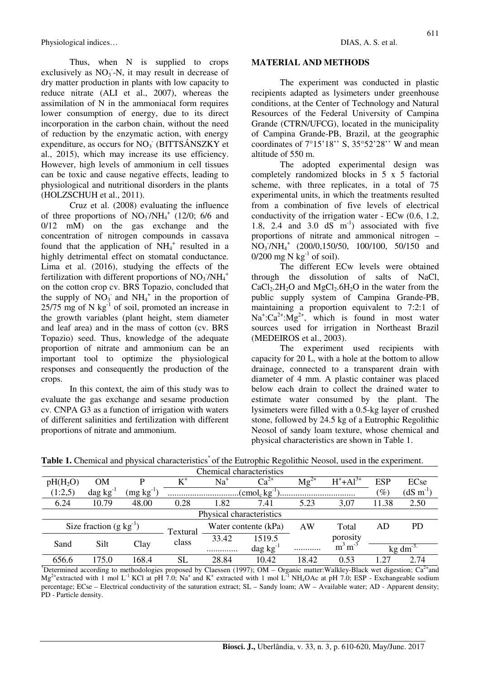Thus, when N is supplied to crops exclusively as  $NO<sub>3</sub> - N$ , it may result in decrease of dry matter production in plants with low capacity to reduce nitrate (ALI et al., 2007), whereas the assimilation of N in the ammoniacal form requires lower consumption of energy, due to its direct incorporation in the carbon chain, without the need of reduction by the enzymatic action, with energy expenditure, as occurs for NO<sub>3</sub> (BITTSÁNSZKY et al., 2015), which may increase its use efficiency. However, high levels of ammonium in cell tissues can be toxic and cause negative effects, leading to physiological and nutritional disorders in the plants (HOLZSCHUH et al., 2011).

Cruz et al. (2008) evaluating the influence of three proportions of  $NO_3/NH_4^+$  (12/0; 6/6 and 0/12 mM) on the gas exchange and the concentration of nitrogen compounds in cassava found that the application of  $\text{NH}_4^+$  resulted in a highly detrimental effect on stomatal conductance. Lima et al. (2016), studying the effects of the fertilization with different proportions of  $NO<sub>3</sub>/NH<sub>4</sub>$ <sup>+</sup> on the cotton crop cv. BRS Topazio, concluded that the supply of  $\overline{NO_3}$  and  $\overline{NH_4}^+$  in the proportion of  $25/75$  mg of N kg $^{-1}$  of soil, promoted an increase in the growth variables (plant height, stem diameter and leaf area) and in the mass of cotton (cv. BRS Topazio) seed. Thus, knowledge of the adequate proportion of nitrate and ammonium can be an important tool to optimize the physiological responses and consequently the production of the crops.

In this context, the aim of this study was to evaluate the gas exchange and sesame production cv. CNPA G3 as a function of irrigation with waters of different salinities and fertilization with different proportions of nitrate and ammonium.

#### **MATERIAL AND METHODS**

The experiment was conducted in plastic recipients adapted as lysimeters under greenhouse conditions, at the Center of Technology and Natural Resources of the Federal University of Campina Grande (CTRN/UFCG), located in the municipality of Campina Grande-PB, Brazil, at the geographic coordinates of  $7^{\circ}15'18''$  S,  $35^{\circ}52'28''$  W and mean altitude of 550 m.

The adopted experimental design was completely randomized blocks in 5 x 5 factorial scheme, with three replicates, in a total of 75 experimental units, in which the treatments resulted from a combination of five levels of electrical conductivity of the irrigation water - ECw (0.6, 1.2, 1.8, 2.4 and 3.0  $dS \text{ m}^{-1}$  associated with five proportions of nitrate and ammonical nitrogen –  $\overline{NO_3/NH_4}^+$  (200/0,150/50, 100/100, 50/150 and  $0/200$  mg N kg<sup>-1</sup> of soil).

The different ECw levels were obtained through the dissolution of salts of NaCl,  $CaCl<sub>2</sub>2H<sub>2</sub>O$  and  $MgCl<sub>2</sub>6H<sub>2</sub>O$  in the water from the public supply system of Campina Grande-PB, maintaining a proportion equivalent to 7:2:1 of  $Na^{\dagger}:\text{Ca}^{2+}:\text{Mg}^{2+}$ , which is found in most water sources used for irrigation in Northeast Brazil (MEDEIROS et al., 2003).

The experiment used recipients with capacity for 20 L, with a hole at the bottom to allow drainage, connected to a transparent drain with diameter of 4 mm. A plastic container was placed below each drain to collect the drained water to estimate water consumed by the plant. The lysimeters were filled with a 0.5-kg layer of crushed stone, followed by 24.5 kg of a Eutrophic Regolithic Neosol of sandy loam texture, whose chemical and physical characteristics are shown in Table 1.

| Chemical characteristics       |                      |                |                                               |                          |                           |                                    |                            |                       |           |
|--------------------------------|----------------------|----------------|-----------------------------------------------|--------------------------|---------------------------|------------------------------------|----------------------------|-----------------------|-----------|
| $pH(H_2O)$                     | OΜ                   | D              | $\rm K^*$                                     | Na <sup>+</sup>          | $\mathrm{Ca}^{\text{2+}}$ | $\overline{\text{M}}\text{g}^{2+}$ | $H^+ + Al^{3+}$            | <b>ESP</b>            | ECse      |
| (1:2,5)                        | $\text{dag kg}^{-1}$ | $(mg kg^{-1})$ | $\rm \langle \text{cmol}_c \, \text{kg}^{-1}$ |                          |                           |                                    | $(\%)$                     | $(dS \text{ m}^{-1})$ |           |
| 6.24                           | 10.79                | 48.00          | 0.28                                          | 1.82                     | 7.41                      | 5.23                               | 3,07                       | 11.38                 | 2.50      |
| Physical characteristics       |                      |                |                                               |                          |                           |                                    |                            |                       |           |
| Size fraction $(g \, kg^{-1})$ |                      |                | Textural                                      | Water contente (kPa)     |                           | AW                                 | Total                      | AD                    | <b>PD</b> |
|                                | Silt                 | Clay           | class                                         | 33.42                    | 1519.5                    |                                    | porosity                   |                       |           |
| Sand                           |                      |                |                                               | $\text{dag kg}^{-1}$<br> |                           |                                    | $m^{-3}$<br>m <sup>-</sup> | $kg \, dm^{-3}$       |           |
| 656.6                          | 175.0                | 168.4          | SL                                            | 28.84                    | 10.42                     | 18.42                              | 0.53                       | 1.27                  | 2.74      |

Table 1. Chemical and physical characteristics<sup>\*</sup> of the Eutrophic Regolithic Neosol, used in the experiment.

\*Determined according to methodologies proposed by Claessen (1997); OM – Organic matter:Walkley-Black wet digestion;  $Ca<sup>2+</sup>$ and  $Mg^{2+}$ extracted with 1 mol L<sup>-1</sup> KCl at pH 7.0; Na<sup>+</sup> and K<sup>+</sup> extracted with 1 mol L<sup>-1</sup> NH<sub>4</sub>OAc at pH 7.0; ESP - Exchangeable sodium percentage; ECse – Electrical conductivity of the saturation extract; SL – Sandy loam; AW – Available water; AD - Apparent density; PD - Particle density.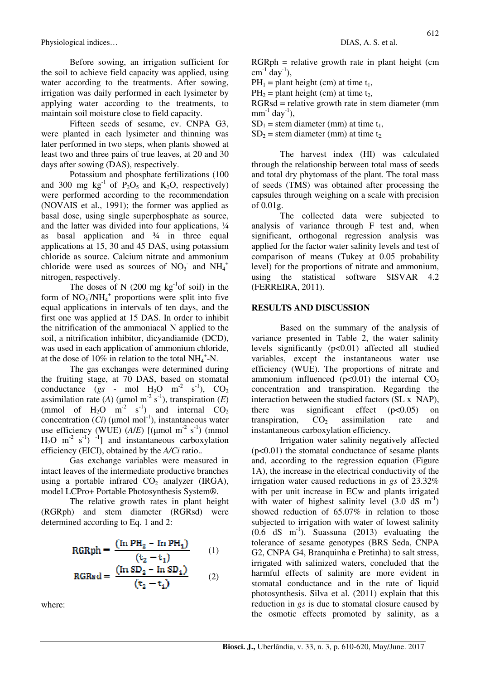Before sowing, an irrigation sufficient for the soil to achieve field capacity was applied, using water according to the treatments. After sowing, irrigation was daily performed in each lysimeter by applying water according to the treatments, to maintain soil moisture close to field capacity.

Fifteen seeds of sesame, cv. CNPA G3, were planted in each lysimeter and thinning was later performed in two steps, when plants showed at least two and three pairs of true leaves, at 20 and 30 days after sowing (DAS), respectively.

Potassium and phosphate fertilizations (100 and 300 mg  $kg^{-1}$  of  $P_2O_5$  and  $K_2O$ , respectively) were performed according to the recommendation (NOVAIS et al., 1991); the former was applied as basal dose, using single superphosphate as source, and the latter was divided into four applications, ¼ as basal application and  $\frac{3}{4}$  in three equal applications at 15, 30 and 45 DAS, using potassium chloride as source. Calcium nitrate and ammonium chloride were used as sources of  $NO<sub>3</sub>$  and  $NH<sub>4</sub>$ <sup>+</sup> nitrogen, respectively.

The doses of N  $(200 \text{ mg kg}^{-1})$  in the form of  $NO_3/NH_4^+$  proportions were split into five equal applications in intervals of ten days, and the first one was applied at 15 DAS. In order to inhibit the nitrification of the ammoniacal N applied to the soil, a nitrification inhibitor, dicyandiamide (DCD), was used in each application of ammonium chloride, at the dose of 10% in relation to the total  $NH_4^+$ -N.

The gas exchanges were determined during the fruiting stage, at 70 DAS, based on stomatal conductance ( $gs$  - mol  $H_2O$  m<sup>-2</sup> s<sup>-1</sup>),  $CO_2$ assimilation rate (*A*) ( $\mu$ mol m<sup>-2</sup> s<sup>-1</sup>), transpiration (*E*) (mmol of H<sub>2</sub>O m<sup>-2</sup> s<sup>-1</sup>) and internal CO<sub>2</sub> concentration  $(Ci)$  (µmol mol<sup>-1</sup>), instantaneous water use efficiency (WUE)  $(A/E)$  [(µmol m<sup>-2</sup> s<sup>-1</sup>) (mmol  $H_2O$  m<sup>-2</sup> s<sup>-1</sup>) <sup>-1</sup>] and instantaneous carboxylation efficiency (EICI), obtained by the *A/Ci* ratio.*.* 

Gas exchange variables were measured in intact leaves of the intermediate productive branches using a portable infrared  $CO<sub>2</sub>$  analyzer (IRGA), model LCPro+ Portable Photosynthesis System®.

The relative growth rates in plant height (RGRph) and stem diameter (RGRsd) were determined according to Eq. 1 and 2:

$$
RGRph = \frac{(In PH2 - In PH1)}{(t2 - t1)} \qquad (1)
$$

$$
RGRsd = \frac{(In S D_2 - In SD_1)}{(t_2 - t_1)}
$$
 (2)

where:

 $RGRph =$  relative growth rate in plant height (cm  $cm^{-1}$  day<sup>-1</sup>),

 $PH_1 =$  plant height (cm) at time  $t_1$ ,

 $PH_2$  = plant height (cm) at time t<sub>2</sub>,

 $RGRsd =$  relative growth rate in stem diameter (mm)  $mm^{-1}$  day<sup>-1</sup>),

 $SD_1$  = stem diameter (mm) at time t<sub>1</sub>,

 $SD<sub>2</sub>$  = stem diameter (mm) at time t<sub>2</sub>.

The harvest index (HI) was calculated through the relationship between total mass of seeds and total dry phytomass of the plant. The total mass of seeds (TMS) was obtained after processing the capsules through weighing on a scale with precision of 0.01g.

The collected data were subjected to analysis of variance through F test and, when significant, orthogonal regression analysis was applied for the factor water salinity levels and test of comparison of means (Tukey at 0.05 probability level) for the proportions of nitrate and ammonium, using the statistical software SISVAR 4.2 (FERREIRA, 2011).

#### **RESULTS AND DISCUSSION**

Based on the summary of the analysis of variance presented in Table 2, the water salinity levels significantly (p<0.01) affected all studied variables, except the instantaneous water use efficiency (WUE). The proportions of nitrate and ammonium influenced  $(p<0.01)$  the internal CO<sub>2</sub> concentration and transpiration. Regarding the interaction between the studied factors (SL x NAP), there was significant effect  $(p<0.05)$  on transpiration,  $CO<sub>2</sub>$  assimilation rate and instantaneous carboxylation efficiency.

Irrigation water salinity negatively affected  $(p<0.01)$  the stomatal conductance of sesame plants and, according to the regression equation (Figure 1A), the increase in the electrical conductivity of the irrigation water caused reductions in *gs* of 23.32% with per unit increase in EC<sub>w</sub> and plants irrigated with water of highest salinity level  $(3.0 \text{ dS m}^{-1})$ showed reduction of 65.07% in relation to those subjected to irrigation with water of lowest salinity  $(0.6$  dS m<sup>-1</sup>). Suassuna (2013) evaluating the tolerance of sesame genotypes (BRS Seda, CNPA G2, CNPA G4, Branquinha e Pretinha) to salt stress. irrigated with salinized waters, concluded that the harmful effects of salinity are more evident in stomatal conductance and in the rate of liquid photosynthesis. Silva et al. (2011) explain that this reduction in *gs* is due to stomatal closure caused by the osmotic effects promoted by salinity, as a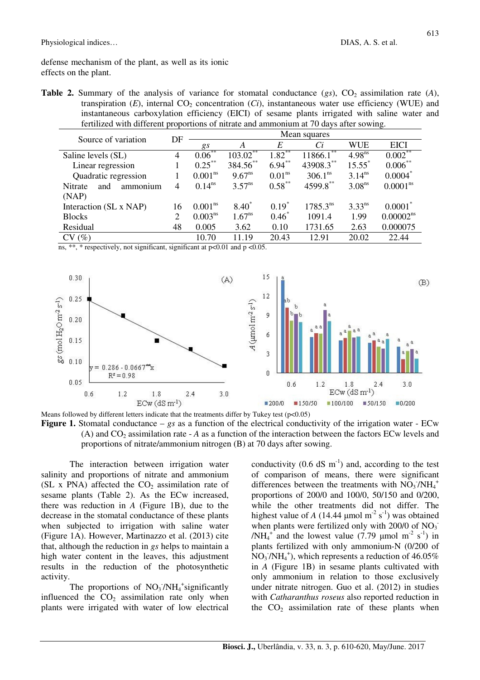defense mechanism of the plant, as well as its ionic effects on the plant.

**Table 2.** Summary of the analysis of variance for stomatal conductance  $(gs)$ ,  $CO<sub>2</sub>$  assimilation rate (*A*), transpiration  $(E)$ , internal  $CO<sub>2</sub>$  concentration  $(Ci)$ , instantaneous water use efficiency (WUE) and instantaneous carboxylation efficiency (EICI) of sesame plants irrigated with saline water and fertilized with different proportions of nitrate and ammonium at 70 days after sowing.

| Source of variation        | DF | Mean squares        |                    |                    |                     |                    |                       |  |
|----------------------------|----|---------------------|--------------------|--------------------|---------------------|--------------------|-----------------------|--|
|                            |    | gs                  | A                  | E                  | Ci                  | <b>WUE</b>         | <b>EICI</b>           |  |
| Saline levels (SL)         | 4  | $0.06***$           | $103.02$ **        | $1.82***$          | $11866.1^{**}$      | $4.98^{ns}$        | $0.002$ **            |  |
| Linear regression          |    | $0.25***$           | 384.56**           | $6.94***$          | 43908.3**           | $15.55^*$          | $0.006***$            |  |
| Quadratic regression       |    | 0.001 <sup>ns</sup> | $9.67^{ns}$        | 0.01 <sup>ns</sup> | 306.1 <sup>ns</sup> | $3.14^{ns}$        | 0.0004                |  |
| Nitrate<br>and<br>ammonium | 4  | $0.14^{ns}$         | $3.57^{\text{ns}}$ | $0.58***$          | 4599.8**            | 3.08 <sup>ns</sup> | 0.0001 <sup>ns</sup>  |  |
| (NAP)                      |    |                     |                    |                    |                     |                    |                       |  |
| Interaction (SL x NAP)     | 16 | 0.001 <sup>ns</sup> | $8.40*$            | $0.19*$            | $1785.3^{ns}$       | $3.33^{ns}$        | $0.0001^*$            |  |
| <b>Blocks</b>              | 2  | $0.003^{ns}$        | $1.67^{ns}$        | $0.46*$            | 1091.4              | 1.99               | 0.00002 <sup>ns</sup> |  |
| Residual                   | 48 | 0.005               | 3.62               | 0.10               | 1731.65             | 2.63               | 0.000075              |  |
| CV(%)                      |    | 10.70               | 11.19              | 20.43              | 12.91               | 20.02              | 22.44                 |  |

ns, \*\*, \* respectively, not significant, significant at  $p<0.01$  and  $p < 0.05$ .



Means followed by different letters indicate that the treatments differ by Tukey test ( $p<0.05$ ) **Figure 1.** Stomatal conductance – *gs* as a function of the electrical conductivity of the irrigation water - ECw (A) and  $CO_2$  assimilation rate -  $A$  as a function of the interaction between the factors ECw levels and

proportions of nitrate/ammonium nitrogen (B) at 70 days after sowing.

The interaction between irrigation water salinity and proportions of nitrate and ammonium (SL x PNA) affected the  $CO<sub>2</sub>$  assimilation rate of sesame plants (Table 2). As the ECw increased, there was reduction in *A* (Figure 1B), due to the decrease in the stomatal conductance of these plants when subjected to irrigation with saline water (Figure 1A). However, Martinazzo et al. (2013) cite that, although the reduction in *gs* helps to maintain a high water content in the leaves, this adjustment results in the reduction of the photosynthetic activity.

The proportions of  $NO<sub>3</sub>/NH<sub>4</sub>$  significantly influenced the  $CO<sub>2</sub>$  assimilation rate only when plants were irrigated with water of low electrical

conductivity  $(0.6 \text{ dS m}^{-1})$  and, according to the test of comparison of means, there were significant differences between the treatments with  $\overline{NO_3/NH_4}^+$ proportions of 200/0 and 100/0, 50/150 and 0/200, while the other treatments did not differ. The highest value of *A* (14.44 µmol m<sup>-2</sup> s<sup>-1</sup>) was obtained when plants were fertilized only with  $200/0$  of  $NO<sub>3</sub>$ <sup>-</sup> /NH<sub>4</sub><sup>+</sup> and the lowest value (7.79 µmol m<sup>-2</sup> s<sup>-1</sup>) in plants fertilized with only ammonium-N (0/200 of  $NO<sub>3</sub>/NH<sub>4</sub><sup>+</sup>$ , which represents a reduction of 46.05% in *A* (Figure 1B) in sesame plants cultivated with only ammonium in relation to those exclusively under nitrate nitrogen. Guo et al. (2012) in studies with *Catharanthus roseus* also reported reduction in the  $CO<sub>2</sub>$  assimilation rate of these plants when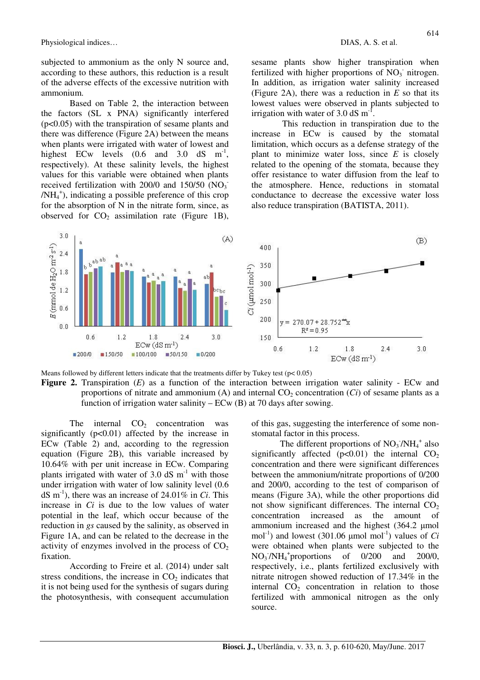subjected to ammonium as the only N source and, according to these authors, this reduction is a result of the adverse effects of the excessive nutrition with ammonium.

Based on Table 2, the interaction between the factors (SL x PNA) significantly interfered (p<0.05) with the transpiration of sesame plants and there was difference (Figure 2A) between the means when plants were irrigated with water of lowest and highest ECw levels  $(0.6 \text{ and } 3.0 \text{ dS} \text{ m}^{-1})$ , respectively). At these salinity levels, the highest values for this variable were obtained when plants received fertilization with 200/0 and  $150/50$  (NO<sub>3</sub> /NH<sup>4</sup> + ), indicating a possible preference of this crop for the absorption of N in the nitrate form, since, as observed for  $CO<sub>2</sub>$  assimilation rate (Figure 1B),

sesame plants show higher transpiration when fertilized with higher proportions of  $NO<sub>3</sub>$  nitrogen. In addition, as irrigation water salinity increased (Figure 2A), there was a reduction in *E* so that its lowest values were observed in plants subjected to irrigation with water of 3.0 dS  $m^{-1}$ .

 This reduction in transpiration due to the increase in ECw is caused by the stomatal limitation, which occurs as a defense strategy of the plant to minimize water loss, since *E* is closely related to the opening of the stomata, because they offer resistance to water diffusion from the leaf to the atmosphere. Hence, reductions in stomatal conductance to decrease the excessive water loss also reduce transpiration (BATISTA, 2011).



Means followed by different letters indicate that the treatments differ by Tukey test ( $p < 0.05$ ) **Figure 2.** Transpiration (*E*) as a function of the interaction between irrigation water salinity - ECw and proportions of nitrate and ammonium  $(A)$  and internal  $CO<sub>2</sub>$  concentration  $(Ci)$  of sesame plants as a function of irrigation water salinity –  $ECw(B)$  at 70 days after sowing.

The internal  $CO<sub>2</sub>$  concentration was significantly  $(p<0.01)$  affected by the increase in ECw (Table 2) and, according to the regression equation (Figure 2B), this variable increased by 10.64% with per unit increase in ECw. Comparing plants irrigated with water of 3.0 dS  $m^{-1}$  with those under irrigation with water of low salinity level (0.6 dS m-1), there was an increase of 24.01% in *Ci*. This increase in *Ci* is due to the low values of water potential in the leaf, which occur because of the reduction in *gs* caused by the salinity, as observed in Figure 1A, and can be related to the decrease in the activity of enzymes involved in the process of  $CO<sub>2</sub>$ fixation.

According to Freire et al. (2014) under salt stress conditions, the increase in  $CO<sub>2</sub>$  indicates that it is not being used for the synthesis of sugars during the photosynthesis, with consequent accumulation of this gas, suggesting the interference of some nonstomatal factor in this process.

The different proportions of  $NO<sub>3</sub> / NH<sub>4</sub><sup>+</sup>$  also significantly affected  $(p<0.01)$  the internal  $CO<sub>2</sub>$ concentration and there were significant differences between the ammonium/nitrate proportions of 0/200 and 200/0, according to the test of comparison of means (Figure 3A), while the other proportions did not show significant differences. The internal  $CO<sub>2</sub>$ concentration increased as the amount of ammonium increased and the highest (364.2 µmol mol<sup>-1</sup>) and lowest (301.06  $\mu$ mol mol<sup>-1</sup>) values of *Ci* were obtained when plants were subjected to the  $NO<sub>3</sub>'/NH<sub>4</sub><sup>+</sup> proportions of 0/200 and 200/0,$ respectively, i.e., plants fertilized exclusively with nitrate nitrogen showed reduction of 17.34% in the internal  $CO<sub>2</sub>$  concentration in relation to those fertilized with ammonical nitrogen as the only source.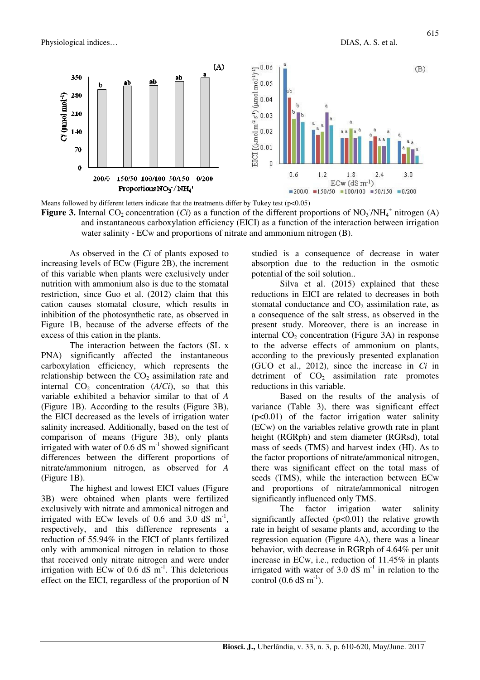

Means followed by different letters indicate that the treatments differ by Tukey test (p<0.05)

**Figure 3.** Internal CO<sub>2</sub> concentration (*Ci*) as a function of the different proportions of NO<sub>3</sub>/NH<sub>4</sub><sup>+</sup> nitrogen (A) and instantaneous carboxylation efficiency (EICI) as a function of the interaction between irrigation water salinity - ECw and proportions of nitrate and ammonium nitrogen (B).

As observed in the *Ci* of plants exposed to increasing levels of ECw (Figure 2B), the increment of this variable when plants were exclusively under nutrition with ammonium also is due to the stomatal restriction, since Guo et al. (2012) claim that this cation causes stomatal closure, which results in inhibition of the photosynthetic rate, as observed in Figure 1B, because of the adverse effects of the excess of this cation in the plants.

The interaction between the factors (SL x PNA) significantly affected the instantaneous carboxylation efficiency, which represents the relationship between the  $CO<sub>2</sub>$  assimilation rate and internal  $CO<sub>2</sub>$  concentration  $(A/Ci)$ , so that this variable exhibited a behavior similar to that of *A* (Figure 1B). According to the results (Figure 3B), the EICI decreased as the levels of irrigation water salinity increased. Additionally, based on the test of comparison of means (Figure 3B), only plants irrigated with water of  $0.6$  dS m<sup>-1</sup> showed significant differences between the different proportions of nitrate/ammonium nitrogen, as observed for *A* (Figure 1B).

The highest and lowest EICI values (Figure 3B) were obtained when plants were fertilized exclusively with nitrate and ammonical nitrogen and irrigated with ECw levels of 0.6 and 3.0  $dS$  m<sup>-1</sup>, respectively, and this difference represents a reduction of 55.94% in the EICI of plants fertilized only with ammonical nitrogen in relation to those that received only nitrate nitrogen and were under irrigation with ECw of 0.6 dS  $m^{-1}$ . This deleterious effect on the EICI, regardless of the proportion of N

studied is a consequence of decrease in water absorption due to the reduction in the osmotic potential of the soil solution..

Silva et al. (2015) explained that these reductions in EICI are related to decreases in both stomatal conductance and  $CO<sub>2</sub>$  assimilation rate, as a consequence of the salt stress, as observed in the present study. Moreover, there is an increase in internal  $CO<sub>2</sub>$  concentration (Figure 3A) in response to the adverse effects of ammonium on plants, according to the previously presented explanation (GUO et al., 2012), since the increase in *Ci* in detriment of  $CO<sub>2</sub>$  assimilation rate promotes reductions in this variable.

Based on the results of the analysis of variance (Table 3), there was significant effect  $(p<0.01)$  of the factor irrigation water salinity (ECw) on the variables relative growth rate in plant height (RGRph) and stem diameter (RGRsd), total mass of seeds (TMS) and harvest index (HI). As to the factor proportions of nitrate/ammonical nitrogen, there was significant effect on the total mass of seeds (TMS), while the interaction between ECw and proportions of nitrate/ammonical nitrogen significantly influenced only TMS.

The factor irrigation water salinity significantly affected  $(p<0.01)$  the relative growth rate in height of sesame plants and, according to the regression equation (Figure 4A), there was a linear behavior, with decrease in RGRph of 4.64% per unit increase in ECw, i.e., reduction of 11.45% in plants irrigated with water of 3.0 dS  $m<sup>-1</sup>$  in relation to the control  $(0.6$  dS m<sup>-1</sup>).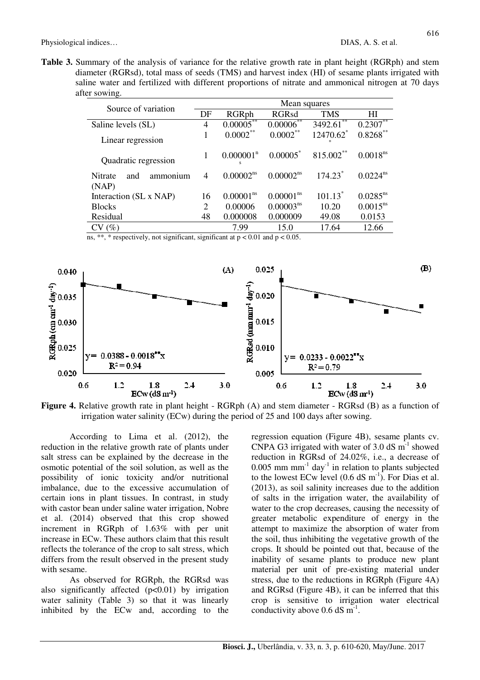616

**Table 3.** Summary of the analysis of variance for the relative growth rate in plant height (RGRph) and stem diameter (RGRsd), total mass of seeds (TMS) and harvest index (HI) of sesame plants irrigated with saline water and fertilized with different proportions of nitrate and ammonical nitrogen at 70 days after sowing.

| Source of variation                        | Mean squares |                              |                       |                     |                      |  |  |
|--------------------------------------------|--------------|------------------------------|-----------------------|---------------------|----------------------|--|--|
|                                            | DF           | RGRph                        | <b>RGRsd</b>          | <b>TMS</b>          | ΗΙ                   |  |  |
| Saline levels (SL)                         | 4            | 0.00005                      | 0.00006               | **<br>3492.61       | $0.2307***$          |  |  |
| Linear regression                          |              | $0.0002***$                  | 0.0002                | 12470.62*<br>$\ast$ | $0.8268***$          |  |  |
| Quadratic regression                       |              | $0.000001$ <sup>n</sup><br>s | 0.00005               | 815.002**           | 0.0018 <sup>ns</sup> |  |  |
| <b>Nitrate</b><br>ammonium<br>and<br>(NAP) | 4            | 0.00002 <sup>ns</sup>        | 0.00002 <sup>ns</sup> | 174.23*             | $0.0224^{ns}$        |  |  |
| Interaction (SL x NAP)                     | 16           | 0.00001 <sup>ns</sup>        | 0.00001 <sup>ns</sup> | $101.13^*$          | $0.0285^{ns}$        |  |  |
| <b>Blocks</b>                              | 2            | 0.00006                      | 0.00003 <sup>ns</sup> | 10.20               | $0.0015^{ns}$        |  |  |
| Residual                                   | 48           | 0.000008                     | 0.000009              | 49.08               | 0.0153               |  |  |
| CV(%)                                      |              | 7.99                         | 15.0                  | 17.64               | 12.66                |  |  |

ns, \*\*, \* respectively, not significant, significant at  $p < 0.01$  and  $p < 0.05$ .



**Figure 4.** Relative growth rate in plant height - RGRph (A) and stem diameter - RGRsd (B) as a function of irrigation water salinity (ECw) during the period of 25 and 100 days after sowing.

According to Lima et al. (2012), the reduction in the relative growth rate of plants under salt stress can be explained by the decrease in the osmotic potential of the soil solution, as well as the possibility of ionic toxicity and/or nutritional imbalance, due to the excessive accumulation of certain ions in plant tissues. In contrast, in study with castor bean under saline water irrigation, Nobre et al. (2014) observed that this crop showed increment in RGRph of 1.63% with per unit increase in ECw. These authors claim that this result reflects the tolerance of the crop to salt stress, which differs from the result observed in the present study with sesame.

As observed for RGRph, the RGRsd was also significantly affected  $(p<0.01)$  by irrigation water salinity (Table 3) so that it was linearly inhibited by the ECw and, according to the

regression equation (Figure 4B), sesame plants cv. CNPA G3 irrigated with water of  $3.0$  dS m<sup>-1</sup> showed reduction in RGRsd of 24.02%, i.e., a decrease of  $0.005$  mm mm<sup>-1</sup> day<sup>-1</sup> in relation to plants subjected to the lowest ECw level  $(0.6 \text{ dS m}^{-1})$ . For Dias et al. (2013), as soil salinity increases due to the addition of salts in the irrigation water, the availability of water to the crop decreases, causing the necessity of greater metabolic expenditure of energy in the attempt to maximize the absorption of water from the soil, thus inhibiting the vegetative growth of the crops. It should be pointed out that, because of the inability of sesame plants to produce new plant material per unit of pre-existing material under stress, due to the reductions in RGRph (Figure 4A) and RGRsd (Figure 4B), it can be inferred that this crop is sensitive to irrigation water electrical conductivity above  $0.6$  dS m<sup>-1</sup>.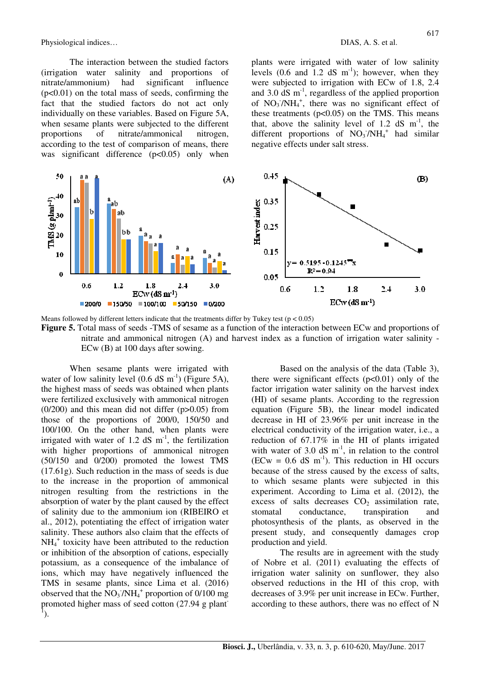The interaction between the studied factors (irrigation water salinity and proportions of nitrate/ammonium) had significant influence  $(p<0.01)$  on the total mass of seeds, confirming the fact that the studied factors do not act only individually on these variables. Based on Figure 5A, when sesame plants were subjected to the different proportions of nitrate/ammonical nitrogen, according to the test of comparison of means, there was significant difference (p<0.05) only when plants were irrigated with water of low salinity levels  $(0.6 \text{ and } 1.2 \text{ dS } \text{m}^{-1})$ ; however, when they were subjected to irrigation with ECw of 1.8, 2.4 and 3.0 dS  $m^{-1}$ , regardless of the applied proportion of  $NO_3/NH_4^+$ , there was no significant effect of these treatments  $(p<0.05)$  on the TMS. This means that, above the salinity level of 1.2 dS  $m^{-1}$ , the different proportions of  $NO_3/NH_4^+$  had similar negative effects under salt stress.



Means followed by different letters indicate that the treatments differ by Tukey test ( $p < 0.05$ ) **Figure 5.** Total mass of seeds -TMS of sesame as a function of the interaction between ECw and proportions of nitrate and ammonical nitrogen (A) and harvest index as a function of irrigation water salinity - ECw (B) at 100 days after sowing.

When sesame plants were irrigated with water of low salinity level  $(0.6 \text{ dS m}^{-1})$  (Figure 5A), the highest mass of seeds was obtained when plants were fertilized exclusively with ammonical nitrogen  $(0/200)$  and this mean did not differ  $(p>0.05)$  from those of the proportions of 200/0, 150/50 and 100/100. On the other hand, when plants were irrigated with water of 1.2 dS  $m^{-1}$ , the fertilization with higher proportions of ammonical nitrogen (50/150 and 0/200) promoted the lowest TMS (17.61g). Such reduction in the mass of seeds is due to the increase in the proportion of ammonical nitrogen resulting from the restrictions in the absorption of water by the plant caused by the effect of salinity due to the ammonium ion (RIBEIRO et al., 2012), potentiating the effect of irrigation water salinity. These authors also claim that the effects of  $NH_4^+$  toxicity have been attributed to the reduction or inhibition of the absorption of cations, especially potassium, as a consequence of the imbalance of ions, which may have negatively influenced the TMS in sesame plants, since Lima et al. (2016) observed that the  $\text{NO}_3$ <sup>-</sup>/NH<sub>4</sub><sup>+</sup> proportion of 0/100 mg promoted higher mass of seed cotton (27.94 g plant- $\tilde{1}$ ).

Based on the analysis of the data (Table 3), there were significant effects  $(p<0.01)$  only of the factor irrigation water salinity on the harvest index (HI) of sesame plants. According to the regression equation (Figure 5B), the linear model indicated decrease in HI of 23.96% per unit increase in the electrical conductivity of the irrigation water, i.e., a reduction of 67.17% in the HI of plants irrigated with water of 3.0 dS  $m^{-1}$ , in relation to the control (ECw =  $0.6$  dS m<sup>-1</sup>). This reduction in HI occurs because of the stress caused by the excess of salts, to which sesame plants were subjected in this experiment. According to Lima et al. (2012), the excess of salts decreases  $CO<sub>2</sub>$  assimilation rate, stomatal conductance, transpiration and photosynthesis of the plants, as observed in the present study, and consequently damages crop production and yield.

The results are in agreement with the study of Nobre et al. (2011) evaluating the effects of irrigation water salinity on sunflower, they also observed reductions in the HI of this crop, with decreases of 3.9% per unit increase in ECw. Further, according to these authors, there was no effect of N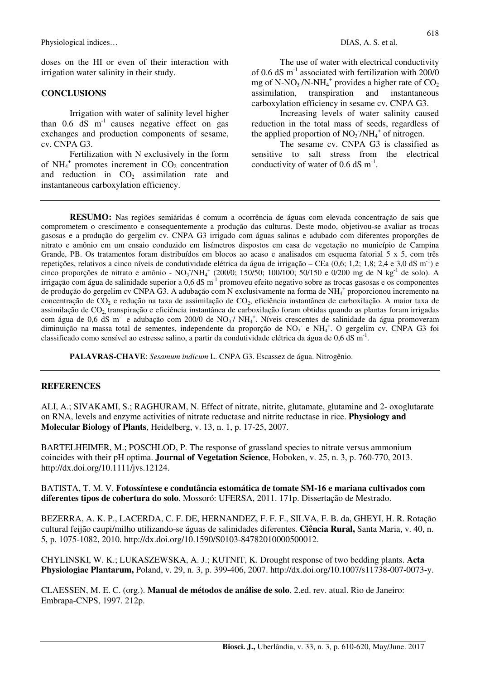doses on the HI or even of their interaction with irrigation water salinity in their study.

### **CONCLUSIONS**

Irrigation with water of salinity level higher than  $0.6$  dS  $m^{-1}$  causes negative effect on gas exchanges and production components of sesame, cv. CNPA G3.

Fertilization with N exclusively in the form of  $NH_4^+$  promotes increment in  $CO_2$  concentration and reduction in  $CO<sub>2</sub>$  assimilation rate and instantaneous carboxylation efficiency.

The use of water with electrical conductivity of 0.6 dS m-1 associated with fertilization with 200/0 mg of N-NO<sub>3</sub><sup> $7$ </sup>N-NH<sub>4</sub><sup>+</sup> provides a higher rate of CO<sub>2</sub> assimilation, transpiration and instantaneous carboxylation efficiency in sesame cv. CNPA G3.

Increasing levels of water salinity caused reduction in the total mass of seeds, regardless of the applied proportion of  $NO<sub>3</sub>/NH<sub>4</sub><sup>+</sup>$  of nitrogen.

The sesame cv. CNPA G3 is classified as sensitive to salt stress from the electrical conductivity of water of 0.6 dS  $m^{-1}$ .

**RESUMO:** Nas regiões semiáridas é comum a ocorrência de águas com elevada concentração de sais que comprometem o crescimento e consequentemente a produção das culturas. Deste modo, objetivou-se avaliar as trocas gasosas e a produção do gergelim cv. CNPA G3 irrigado com águas salinas e adubado com diferentes proporções de nitrato e amônio em um ensaio conduzido em lisímetros dispostos em casa de vegetação no município de Campina Grande, PB. Os tratamentos foram distribuídos em blocos ao acaso e analisados em esquema fatorial 5 x 5, com três repetições, relativos a cinco níveis de condutividade elétrica da água de irrigação – CEa  $(0.6; 1.2; 1.8; 2.4 \text{ e } 3.0 \text{ dS m}^{-1})$  e cinco proporções de nitrato e amônio -  $NO_3/NH_4^+$  (200/0; 150/50; 100/100; 50/150 e 0/200 mg de N kg<sup>-1</sup> de solo). A irrigação com água de salinidade superior a 0,6 dS m<sup>-1</sup> promoveu efeito negativo sobre as trocas gasosas e os componentes de produção do gergelim cv CNPA G3. A adubação com N exclusivamente na forma de NH<sub>4</sub><sup>+</sup> proporcionou incremento na concentração de CO2 e redução na taxa de assimilação de CO2, eficiência instantânea de carboxilação. A maior taxa de assimilação de CO<sub>2</sub>, transpiração e eficiência instantânea de carboxilação foram obtidas quando as plantas foram irrigadas com água de 0,6 dS m<sup>-1</sup> e adubação com 200/0 de NO<sub>3</sub>7 NH<sub>4</sub><sup>+</sup>. Níveis crescentes de salinidade da água promoveram diminuição na massa total de sementes, independente da proporção de  $NO<sub>3</sub>$  e NH<sub>4</sub><sup>+</sup>. O gergelim cv. CNPA G3 foi classificado como sensível ao estresse salino, a partir da condutividade elétrica da água de 0,6 dS m-1 .

**PALAVRAS-CHAVE**: *Sesamum indicum* L. CNPA G3. Escassez de água. Nitrogênio.

#### **REFERENCES**

ALI, A.; SIVAKAMI, S.; RAGHURAM, N. Effect of nitrate, nitrite, glutamate, glutamine and 2- oxoglutarate on RNA, levels and enzyme activities of nitrate reductase and nitrite reductase in rice. **Physiology and Molecular Biology of Plants**, Heidelberg, v. 13, n. 1, p. 17-25, 2007.

BARTELHEIMER, M.; POSCHLOD, P. The response of grassland species to nitrate versus ammonium coincides with their pH optima. **Journal of Vegetation Science**, Hoboken, v. 25, n. 3, p. 760-770, 2013. http://dx.doi.org/10.1111/jvs.12124.

BATISTA, T. M. V. **Fotossíntese e condutância estomática de tomate SM-16 e mariana cultivados com diferentes tipos de cobertura do solo**. Mossoró: UFERSA, 2011. 171p. Dissertação de Mestrado.

BEZERRA, A. K. P., LACERDA, C. F. DE, HERNANDEZ, F. F. F., SILVA, F. B. da, GHEYI, H. R. Rotação cultural feijão caupi/milho utilizando-se águas de salinidades diferentes. **Ciência Rural,** Santa Maria, v. 40, n. 5, p. 1075-1082, 2010. http://dx.doi.org/10.1590/S0103-84782010000500012.

CHYLINSKI, W. K.; LUKASZEWSKA, A. J.; KUTNIT, K. Drought response of two bedding plants. **Acta Physiologiae Plantarum,** Poland, v. 29, n. 3, p. 399-406, 2007. http://dx.doi.org/10.1007/s11738-007-0073-y.

CLAESSEN, M. E. C. (org.). **Manual de métodos de análise de solo**. 2.ed. rev. atual. Rio de Janeiro: Embrapa-CNPS, 1997. 212p.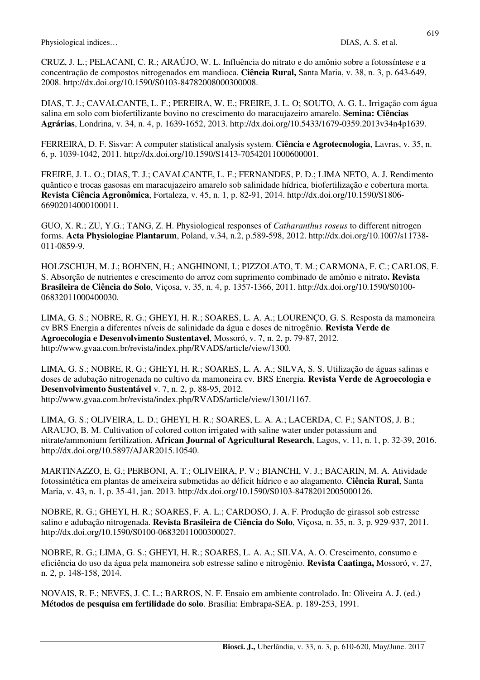CRUZ, J. L.; PELACANI, C. R.; ARAÚJO, W. L. Influência do nitrato e do amônio sobre a fotossíntese e a concentração de compostos nitrogenados em mandioca. **Ciência Rural,** Santa Maria, v. 38, n. 3, p. 643-649, 2008. http://dx.doi.org/10.1590/S0103-84782008000300008.

DIAS, T. J.; CAVALCANTE, L. F.; PEREIRA, W. E.; FREIRE, J. L. O; SOUTO, A. G. L. Irrigação com água salina em solo com biofertilizante bovino no crescimento do maracujazeiro amarelo. **Semina: Ciências Agrárias**, Londrina, v. 34, n. 4, p. 1639-1652, 2013. http://dx.doi.org/10.5433/1679-0359.2013v34n4p1639.

FERREIRA, D. F. Sisvar: A computer statistical analysis system. **Ciência e Agrotecnologia**, Lavras, v. 35, n. 6, p. 1039-1042, 2011. http://dx.doi.org/10.1590/S1413-70542011000600001.

FREIRE, J. L. O.; DIAS, T. J.; CAVALCANTE, L. F.; FERNANDES, P. D.; LIMA NETO, A. J. Rendimento quântico e trocas gasosas em maracujazeiro amarelo sob salinidade hídrica, biofertilização e cobertura morta. **Revista Ciência Agronômica**, Fortaleza, v. 45, n. 1, p. 82-91, 2014. http://dx.doi.org/10.1590/S1806- 66902014000100011.

GUO, X. R.; ZU, Y.G.; TANG, Z. H. Physiological responses of *Catharanthus roseus* to different nitrogen forms. **Acta Physiologiae Plantarum**, Poland, v.34, n.2, p.589-598, 2012. http://dx.doi.org/10.1007/s11738- 011-0859-9.

HOLZSCHUH, M. J.; BOHNEN, H.; ANGHINONI, I.; PIZZOLATO, T. M.; CARMONA, F. C.; CARLOS, F. S. Absorção de nutrientes e crescimento do arroz com suprimento combinado de amônio e nitrato**. Revista Brasileira de Ciência do Solo**, Viçosa, v. 35, n. 4, p. 1357-1366, 2011. http://dx.doi.org/10.1590/S0100- 06832011000400030.

LIMA, G. S.; NOBRE, R. G.; GHEYI, H. R.; SOARES, L. A. A.; LOURENÇO, G. S. Resposta da mamoneira cv BRS Energia a diferentes níveis de salinidade da água e doses de nitrogênio. **Revista Verde de Agroecologia e Desenvolvimento Sustentavel**, Mossoró, v. 7, n. 2, p. 79-87, 2012. http://www.gvaa.com.br/revista/index.php/RVADS/article/view/1300.

LIMA, G. S.; NOBRE, R. G.; GHEYI, H. R.; SOARES, L. A. A.; SILVA, S. S. Utilização de águas salinas e doses de adubação nitrogenada no cultivo da mamoneira cv. BRS Energia. **Revista Verde de Agroecologia e Desenvolvimento Sustentável** v. 7, n. 2, p. 88-95, 2012. http://www.gvaa.com.br/revista/index.php/RVADS/article/view/1301/1167.

LIMA, G. S.; OLIVEIRA, L. D.; GHEYI, H. R.; SOARES, L. A. A.; LACERDA, C. F.; SANTOS, J. B.; ARAUJO, B. M. Cultivation of colored cotton irrigated with saline water under potassium and nitrate/ammonium fertilization. **African Journal of Agricultural Research**, Lagos, v. 11, n. 1, p. 32-39, 2016. http://dx.doi.org/10.5897/AJAR2015.10540.

MARTINAZZO, E. G.; PERBONI, A. T.; OLIVEIRA, P. V.; BIANCHI, V. J.; BACARIN, M. A. Atividade fotossintética em plantas de ameixeira submetidas ao déficit hídrico e ao alagamento. **Ciência Rural**, Santa Maria, v. 43, n. 1, p. 35-41, jan. 2013. http://dx.doi.org/10.1590/S0103-84782012005000126.

NOBRE, R. G.; GHEYI, H. R.; SOARES, F. A. L.; CARDOSO, J. A. F. Produção de girassol sob estresse salino e adubação nitrogenada. **Revista Brasileira de Ciência do Solo**, Viçosa, n. 35, n. 3, p. 929-937, 2011. http://dx.doi.org/10.1590/S0100-06832011000300027.

NOBRE, R. G.; LIMA, G. S.; GHEYI, H. R.; SOARES, L. A. A.; SILVA, A. O. Crescimento, consumo e eficiência do uso da água pela mamoneira sob estresse salino e nitrogênio. **Revista Caatinga,** Mossoró, v. 27, n. 2, p. 148-158, 2014.

NOVAIS, R. F.; NEVES, J. C. L.; BARROS, N. F. Ensaio em ambiente controlado. In: Oliveira A. J. (ed.) **Métodos de pesquisa em fertilidade do solo**. Brasília: Embrapa-SEA. p. 189-253, 1991.